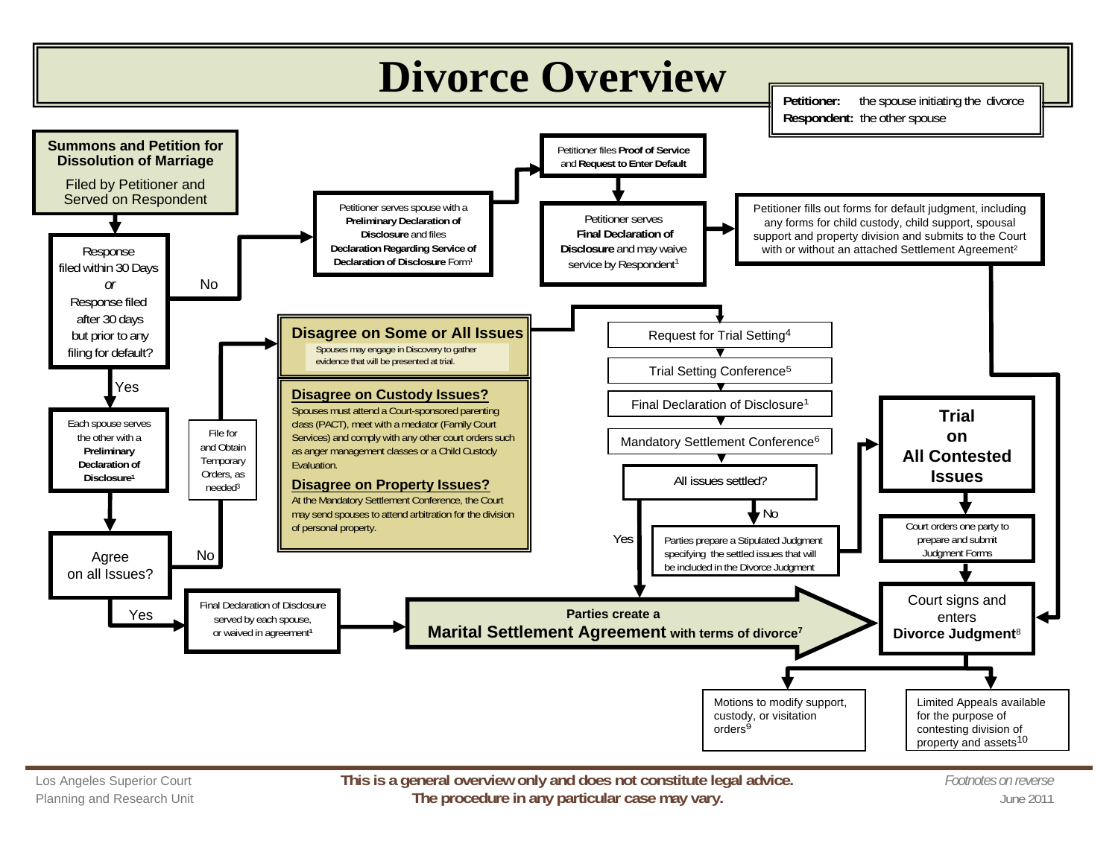

Planning and Research Unit **The procedure in any particular case may vary.** The procedure in any particular case may vary.